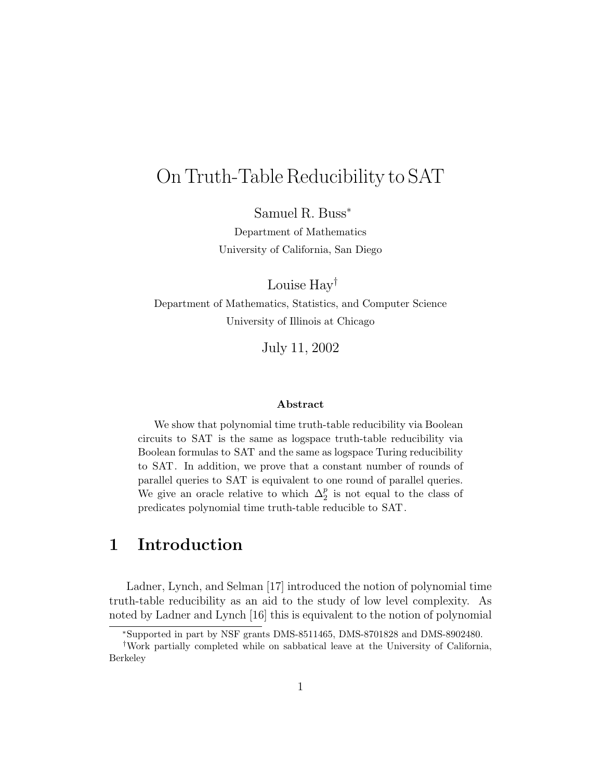# On Truth-Table Reducibility to SAT

Samuel R. Buss<sup>∗</sup>

Department of Mathematics University of California, San Diego

Louise Hay†

Department of Mathematics, Statistics, and Computer Science University of Illinois at Chicago

July 11, 2002

#### **Abstract**

We show that polynomial time truth-table reducibility via Boolean circuits to SAT is the same as logspace truth-table reducibility via Boolean formulas to SAT and the same as logspace Turing reducibility to SAT. In addition, we prove that a constant number of rounds of parallel queries to SAT is equivalent to one round of parallel queries. We give an oracle relative to which  $\Delta_2^p$  is not equal to the class of predicates polynomial time truth-table reducible to SAT.

## **1 Introduction**

Ladner, Lynch, and Selman [17] introduced the notion of polynomial time truth-table reducibility as an aid to the study of low level complexity. As noted by Ladner and Lynch [16] this is equivalent to the notion of polynomial

<sup>∗</sup>Supported in part by NSF grants DMS-8511465, DMS-8701828 and DMS-8902480.

<sup>†</sup>Work partially completed while on sabbatical leave at the University of California, Berkeley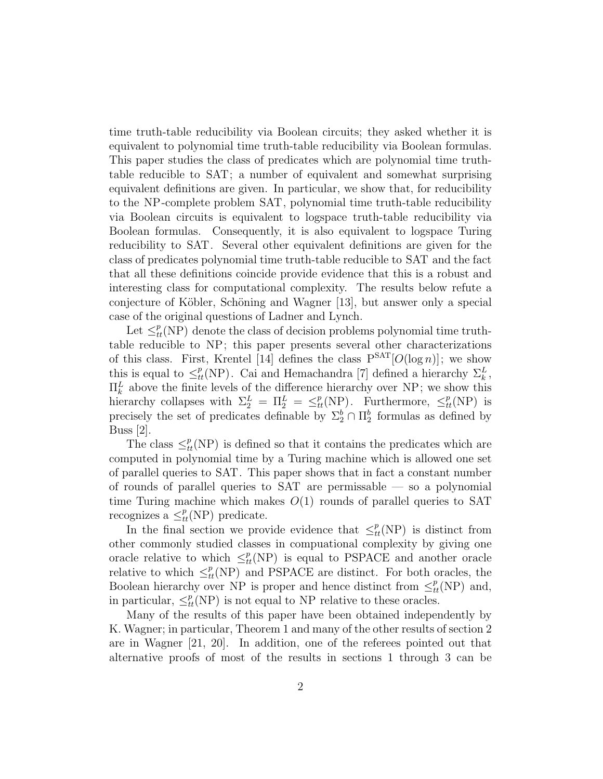time truth-table reducibility via Boolean circuits; they asked whether it is equivalent to polynomial time truth-table reducibility via Boolean formulas. This paper studies the class of predicates which are polynomial time truthtable reducible to SAT; a number of equivalent and somewhat surprising equivalent definitions are given. In particular, we show that, for reducibility to the NP -complete problem SAT, polynomial time truth-table reducibility via Boolean circuits is equivalent to logspace truth-table reducibility via Boolean formulas. Consequently, it is also equivalent to logspace Turing reducibility to SAT. Several other equivalent definitions are given for the class of predicates polynomial time truth-table reducible to SAT and the fact that all these definitions coincide provide evidence that this is a robust and interesting class for computational complexity. The results below refute a conjecture of Köbler, Schöning and Wagner [13], but answer only a special case of the original questions of Ladner and Lynch.

Let  $\leq^p_{tt}(NP)$  denote the class of decision problems polynomial time truth-<br>le reducible to NP: this paper presents several other characterizations table reducible to NP; this paper presents several other characterizations of this class. First, Krentel [14] defines the class  $P<sup>SAT</sup>[O(log n)]$ ; we show this is equal to  $\leq_{\mu}^p (NP)$ . Cai and Hemachandra [7] defined a hierarchy  $\Sigma_k^L$ ,<br> $\Pi^L$  above the finite levels of the difference hierarchy over NP; we show this  $\Pi_k^L$  above the finite levels of the difference hierarchy over NP; we show this hierarchy collapses with  $\Sigma^L = \Pi^L = \langle P(\text{ND}) \rangle$ . Eurthermore  $\langle P(\text{ND}) \rangle$  is hierarchy collapses with  $\Sigma_2^L = \Pi_2^L = \leq^p_{tt}(NP)$ . Furthermore,  $\leq^p_{tt}(NP)$  is precisely the set of predicates definable by  $\Sigma_2^b \cap \Pi_2^b$  formulas as defined by Buss  $|2|$ .

The class  $\leq^p_t(N)$  is defined so that it contains the predicates which are<br>unuted in polynomial time by a Turing machine which is allowed are set computed in polynomial time by a Turing machine which is allowed one set of parallel queries to SAT. This paper shows that in fact a constant number of rounds of parallel queries to  $SAT$  are permissable — so a polynomial time Turing machine which makes  $O(1)$  rounds of parallel queries to SAT recognizes a  $\leq^p_t(N)$  predicate.<br>In the final section we prev

In the final section we provide evidence that  $\leq_k^p(N)$  is distinct from  $\alpha$  commonly studied classes in commutional complexity by giving one other commonly studied classes in compuational complexity by giving one oracle relative to which  $\leq^p_{tt}(NP)$  is equal to PSPACE and another oracle<br>relative to which  $\leq^p_{t}(NP)$  and PSPACE are distinct. For both excelse the relative to which  $\leq_{\text{t}}^p (NP)$  and PSPACE are distinct. For both oracles, the<br>Boolean biggraphy gives NP is proper and hones distinct from  $\leq^p (NP)$  and Boolean hierarchy over NP is proper and hence distinct from  $\leq_{\mu}^p (NP)$  and,<br>in perticular  $\leq_{\mu}^p (ND)$  is not equal to NP relative to these encodes in particular,  $\leq^p_{tt}(NP)$  is not equal to NP relative to these oracles.<br>Many of the results of this paper have been obtained independent

Many of the results of this paper have been obtained independently by K. Wagner; in particular, Theorem 1 and many of the other results of section 2 are in Wagner [21, 20]. In addition, one of the referees pointed out that alternative proofs of most of the results in sections 1 through 3 can be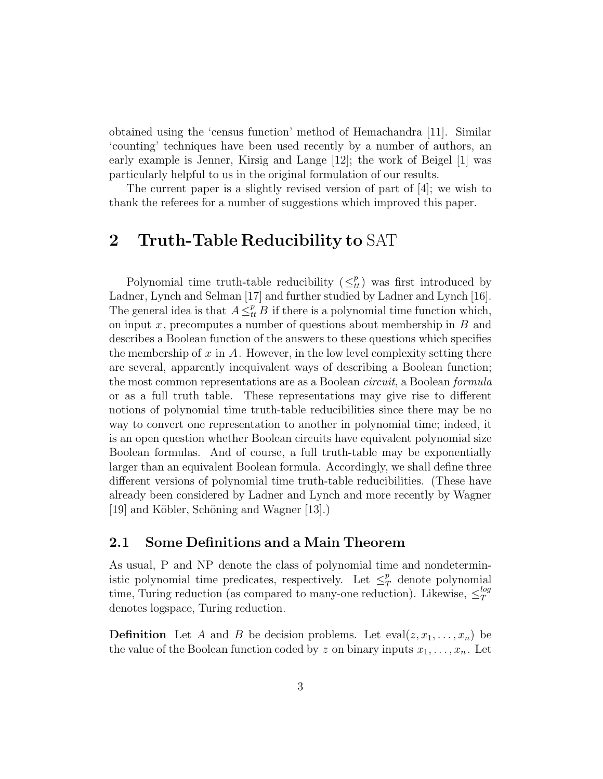obtained using the 'census function' method of Hemachandra [11]. Similar 'counting' techniques have been used recently by a number of authors, an early example is Jenner, Kirsig and Lange [12]; the work of Beigel [1] was particularly helpful to us in the original formulation of our results.

The current paper is a slightly revised version of part of [4]; we wish to thank the referees for a number of suggestions which improved this paper.

### **2 Truth-Table Reducibility to** SAT

Polynomial time truth-table reducibility  $(\leq_k^p)$  was first introduced by<br>lags Lynch and Selman [17] and further studied by Ladaer and Lynch [16] Ladner, Lynch and Selman [17] and further studied by Ladner and Lynch [16]. The general idea is that  $A \leq^p_t B$  if there is a polynomial time function which, on input  $x$ , precomputes a number of questions about membership in  $B$  and describes a Boolean function of the answers to these questions which specifies the membership of  $x$  in  $A$ . However, in the low level complexity setting there are several, apparently inequivalent ways of describing a Boolean function; the most common representations are as a Boolean *circuit*, a Boolean *formula* or as a full truth table. These representations may give rise to different notions of polynomial time truth-table reducibilities since there may be no way to convert one representation to another in polynomial time; indeed, it is an open question whether Boolean circuits have equivalent polynomial size Boolean formulas. And of course, a full truth-table may be exponentially larger than an equivalent Boolean formula. Accordingly, we shall define three different versions of polynomial time truth-table reducibilities. (These have already been considered by Ladner and Lynch and more recently by Wagner [19] and Köbler, Schöning and Wagner [13].)

### **2.1 Some Definitions and a Main Theorem**

As usual, P and NP denote the class of polynomial time and nondeterministic polynomial time predicates, respectively. Let  $\leq^p_T$  denote polynomial time. The reduction (as compared to many one reduction). Likewise  $\leq^{log}$ time, Turing reduction (as compared to many-one reduction). Likewise,  $\leq_T^{\log}$ denotes logspace, Turing reduction.

**Definition** Let A and B be decision problems. Let  $eval(z, x_1, \ldots, x_n)$  be the value of the Boolean function coded by z on binary inputs  $x_1, \ldots, x_n$ . Let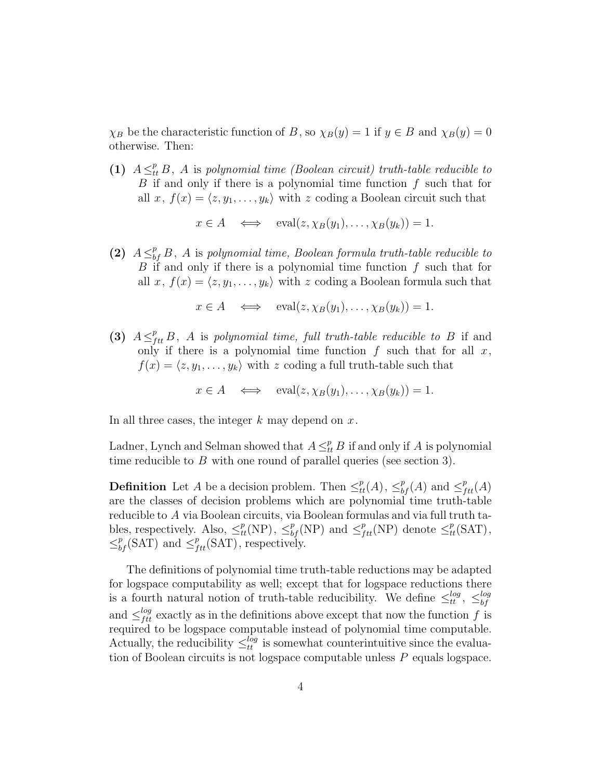$\chi_B$  be the characteristic function of B, so  $\chi_B(y) = 1$  if  $y \in B$  and  $\chi_B(y) = 0$ otherwise. Then:

(1)  $A \leq^p_t B$ , A is polynomial time (Boolean circuit) truth-table reducible to<br> $B$  if and only if there is a polynomial time function f such that for B if and only if there is a polynomial time function  $f$  such that for all x,  $f(x) = \langle z, y_1, \ldots, y_k \rangle$  with z coding a Boolean circuit such that

$$
x \in A \iff \text{eval}(z, \chi_B(y_1), \dots, \chi_B(y_k)) = 1.
$$

(2)  $A \leq_{bf}^{p} B$ , A is polynomial time, Boolean formula truth-table reducible to<br>B if and only if there is a polynomial time function f such that for B if and only if there is a polynomial time function  $f$  such that for all x,  $f(x) = \langle z, y_1, \ldots, y_k \rangle$  with z coding a Boolean formula such that

$$
x \in A \iff \text{eval}(z, \chi_B(y_1), \ldots, \chi_B(y_k)) = 1.
$$

**(3)**  $A \leq_{ftt}^{p} B$ , A is polynomial time, full truth-table reducible to B if and only if there is a polynomial time function f such that for all x only if there is a polynomial time function  $f$  such that for all  $x$ ,  $f(x) = \langle z, y_1,\ldots, y_k \rangle$  with z coding a full truth-table such that

$$
x \in A \iff \text{eval}(z, \chi_B(y_1), \dots, \chi_B(y_k)) = 1.
$$

In all three cases, the integer  $k$  may depend on  $x$ .

Ladner, Lynch and Selman showed that  $A \leq^p_t B$  if and only if A is polynomial<br>time reducible to B with one round of parallel queries (see section 2) time reducible to  $B$  with one round of parallel queries (see section 3).

**Definition** Let A be a decision problem. Then  $\leq^p_t(A)$ ,  $\leq^p_{bf}(A)$  and  $\leq^p_{ft}(A)$ <br>are the classes of decision problems which are polynomial time truth table are the classes of decision problems which are polynomial time truth-table reducible to A via Boolean circuits, via Boolean formulas and via full truth tables, respectively. Also,  $\leq^p_t(NP)$ ,  $\leq^p_b(NP)$  and  $\leq^p_{ft}(NP)$  denote  $\leq^p_t(SAT)$ ,  $\leq^p_t(SAT)$  respectively.  $\leq_{bf}^{p}(\text{SAT})$  and  $\leq_{ftt}^{p}(\text{SAT})$ , respectively.

The definitions of polynomial time truth-table reductions may be adapted for logspace computability as well; except that for logspace reductions there is a fourth natural notion of truth-table reducibility. We define  $\leq_{tt}^{log}$ ,  $\leq_{bf}^{log}$ and  $\leq_{ftt}^{log}$  exactly as in the definitions above except that now the function f is<br>required to be logarese computable instead of polynomial time computable required to be logspace computable instead of polynomial time computable. Actually, the reducibility  $\leq_{\text{tot}}^{\text{log}}$  is somewhat counterintuitive since the evalua-<br>tion of Boolean circuits is not loganese computable unless B caugh loganese tion of Boolean circuits is not logspace computable unless  $P$  equals logspace.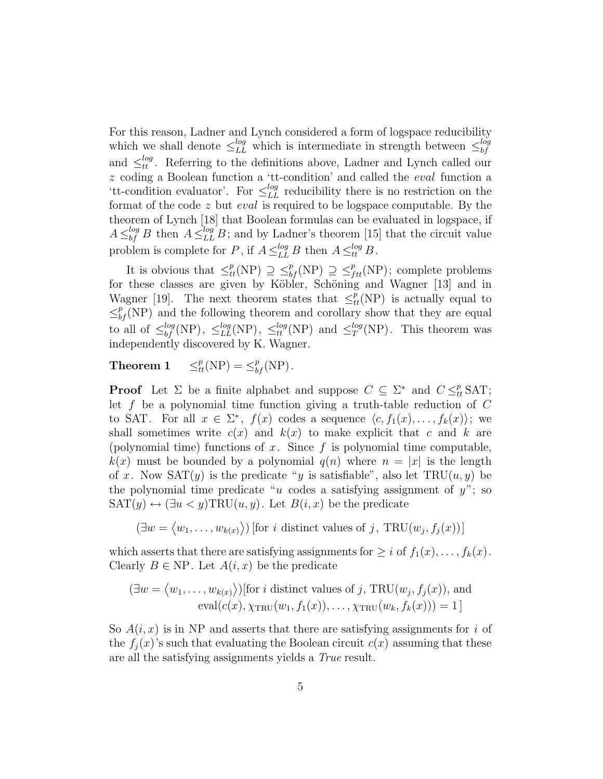For this reason, Ladner and Lynch considered a form of logspace reducibility which we shall denote  $\leq_{LL}^{log}$  which is intermediate in strength between  $\leq_{bf}^{log}$ and  $\leq_{tt}^{\log}$ . Referring to the definitions above, Ladner and Lynch called our z coding a Boolean function a 'tt-condition' and called the eval function a 'tt-condition evaluator'. For  $\leq_{LL}^{\log}$  reducibility there is no restriction on the formet of the code  $\zeta$  but eval is required to be less the computable. By the format of the code z but eval is required to be logspace computable. By the theorem of Lynch [18] that Boolean formulas can be evaluated in logspace, if  $A \leq_{bf}^{log} B$  then  $A \leq_{LL}^{log} B$ ; and by Ladner's theorem [15] that the circuit value problem is complete for P, if  $A \leq_{LL}^{\log} B$  then  $A \leq_{tt}^{\log} B$ .

It is obvious that  $\leq^p_{tt}(NP) \supseteq \leq^p_{bt}(NP) \supseteq \leq^p_{ft}(NP)$ ; complete problems for these classes are given by Köbler, Schöning and Wagner [13] and in Wagner [19]. The next theorem states that  $\leq_{t}^{p}(\text{NP})$  is actually equal to  $\leq_{p}^{p}(\text{ND})$  and the following theorem and concllenged that they are equal  $\leq_{bf}^{p}(\text{NP})$  and the following theorem and corollary show that they are equal<br> $\leq_{bf}^{log}(\text{ND}) \leq_{bf}^{log}(\text{ND}) \leq_{bf}^{log}(\text{ND}) \leq_{bf}^{log}(\text{ND})$ to all of  $\leq_{bf}^{log}(\text{NP})$ ,  $\leq_{LL}^{log}(\text{NP})$ ,  $\leq_{tt}^{log}(\text{NP})$  and  $\leq_{T}^{log}(\text{NP})$ . This theorem was independently discovered by K. Wagner.

Theorem 1  $t_t^p(NP) = \leq_{bf}^p(NP).$ 

**Proof** Let  $\Sigma$  be a finite alphabet and suppose  $C \subseteq \Sigma^*$  and  $C \leq^p_{tt} SAT$ ;<br>let f be a polynomial time function giving a truth-table reduction of C to SAT. For all  $x \in \Sigma^*$ ,  $f(x)$  codes a sequence  $\langle c, f_1(x),\ldots,f_k(x)\rangle$ ; we shall sometimes write  $c(x)$  and  $k(x)$  to make explicit that c and k are (polynomial time) functions of x. Since f is polynomial time computable,  $k(x)$  must be bounded by a polynomial  $q(n)$  where  $n = |x|$  is the length of x. Now  $SAT(y)$  is the predicate "y is satisfiable", also let  $TRU(u, y)$  be the polynomial time predicate "u codes a satisfying assignment of  $y$ "; so  $SAT(y) \leftrightarrow (\exists u \lt y) TRU(u, y)$ . Let  $B(i, x)$  be the predicate

$$
(\exists w = \langle w_1, \ldots, w_{k(x)} \rangle)
$$
 [for *i* distinct values of *j*, TRU $(w_j, f_j(x))$ ]

which asserts that there are satisfying assignments for  $\geq i$  of  $f_1(x), \ldots, f_k(x)$ . Clearly  $B \in \text{NP}$ . Let  $A(i, x)$  be the predicate

$$
(\exists w = \langle w_1, \dots, w_{k(x)} \rangle)[\text{for } i \text{ distinct values of } j, \text{TRU}(w_j, f_j(x)), \text{ and}
$$

$$
\text{eval}(c(x), \chi_{\text{TRU}}(w_1, f_1(x)), \dots, \chi_{\text{TRU}}(w_k, f_k(x))) = 1]
$$

So  $A(i, x)$  is in NP and asserts that there are satisfying assignments for i of the  $f_i(x)$ 's such that evaluating the Boolean circuit  $c(x)$  assuming that these are all the satisfying assignments yields a True result.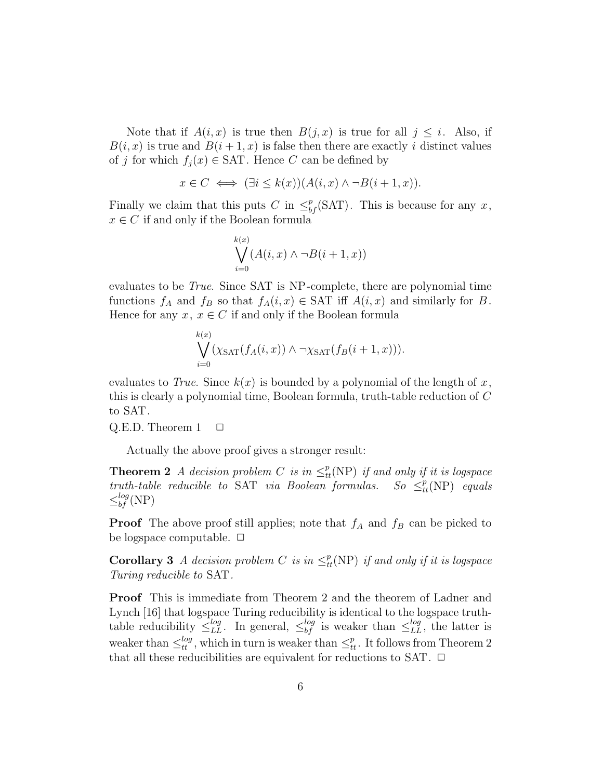Note that if  $A(i, x)$  is true then  $B(j, x)$  is true for all  $j \leq i$ . Also, if  $B(i, x)$  is true and  $B(i + 1, x)$  is false then there are exactly i distinct values of j for which  $f_j(x) \in SAT$ . Hence C can be defined by

$$
x \in C \iff (\exists i \leq k(x))(A(i,x) \land \neg B(i+1,x)).
$$

Finally we claim that this puts C in  $\leq_{bf}^{p}(SAT)$ . This is because for any x,<br> $x \in C$  if and only if the Boolean formula  $x \in C$  if and only if the Boolean formula

$$
\bigvee_{i=0}^{k(x)} (A(i,x) \wedge \neg B(i+1,x))
$$

evaluates to be True. Since SAT is NP -complete, there are polynomial time functions  $f_A$  and  $f_B$  so that  $f_A(i, x) \in SAT$  iff  $A(i, x)$  and similarly for B. Hence for any  $x, x \in C$  if and only if the Boolean formula

$$
\bigvee_{i=0}^{k(x)} (\chi_{\text{SAT}}(f_A(i,x)) \wedge \neg \chi_{\text{SAT}}(f_B(i+1,x))).
$$

evaluates to True. Since  $k(x)$  is bounded by a polynomial of the length of x, this is clearly a polynomial time, Boolean formula, truth-table reduction of C to SAT.

#### Q.E.D. Theorem  $1 \Box$

Actually the above proof gives a stronger result:

**Theorem 2** A decision problem C is in  $\leq^p_t(N)$  if and only if it is logspace<br>truth table reducible to SAT, via Poolean formulae,  $S_2 \leq^p (ND)$  caugh truth-table reducible to SAT via Boolean formulas. So  $\leq^p_{tt}(NP)$  equals  $\lt^{\log(NP)}$  $\leq_{bf}^{log}$ (NP)

**Proof** The above proof still applies; note that  $f_A$  and  $f_B$  can be picked to be logspace computable.  $\Box$ 

**Corollary 3** A decision problem C is in  $\leq_{tt}^{p} (NP)$  if and only if it is logspace Turing reducible to SAT.

**Proof** This is immediate from Theorem 2 and the theorem of Ladner and Lynch [16] that logspace Turing reducibility is identical to the logspace truthtable reducibility  $\leq_{LL}^{log}$ . In general,  $\leq_{bf}^{log}$  is weaker than  $\leq_{LL}^{log}$ , the latter is weaker than  $\leq_{tt}^{log}$ , which in turn is weaker than  $\leq_{tt}^{p}$ . It follows from Theorem 2<br>that all these podycibilities are equivalent for reductions to SAT that all these reducibilities are equivalent for reductions to SAT.  $\Box$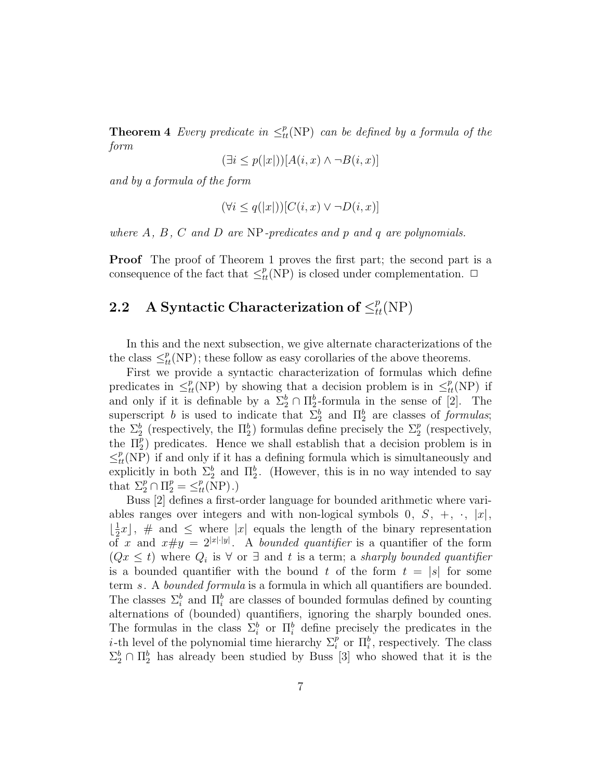**Theorem 4** Every predicate in  $\leq^p_t(NP)$  can be defined by a formula of the form form

$$
(\exists i \le p(|x|))[A(i,x) \land \neg B(i,x)]
$$

and by a formula of the form

$$
(\forall i \le q(|x|))[C(i,x) \lor \neg D(i,x)]
$$

where  $A, B, C$  and  $D$  are NP-predicates and p and q are polynomials.

**Proof** The proof of Theorem 1 proves the first part; the second part is a consequence of the fact that  $\leq^p_{tt}(NP)$  is closed under complementation.  $\Box$ 

# **2.2** A Syntactic Characterization of  $\leq^p_{tt}(NP)$

In this and the next subsection, we give alternate characterizations of the the class  $\leq_{tt}^{p}(\text{NP})$ ; these follow as easy corollaries of the above theorems.

First we provide a syntactic characterization of formulas which define predicates in  $\leq^p_t(N)$  by showing that a decision problem is in  $\leq^p_t(N)$  if and only if it is definable by a  $\Sigma_2^b \cap \Pi_2^b$ -formula in the sense of [2]. The superscript b is used to indicate that  $\Sigma_2^b$  and  $\Pi_2^b$  are classes of *formulas*; the  $\Sigma_2^b$  (respectively, the  $\Pi_2^b$ ) formulas define precisely the  $\Sigma_2^p$  (respectively, the  $\Pi_2^p$ ) predicates. Hence we shall establish that a decision problem is in  $\leq^p_{tt}(NP)$  if and only if it has a defining formula which is simultaneously and<br>curlicitly in both  $\sum^b$  and  $\Pi^b$ . (However, this is in no way intended to say explicitly in both  $\Sigma_2^b$  and  $\Pi_2^b$ . (However, this is in no way intended to say that  $\Sigma_2^p \cap \Pi_2^p = \leq^p_{tt} (NP)$ .)<br>Bugs [9] defines a first

Buss [2] defines a first-order language for bounded arithmetic where variables ranges over integers and with non-logical symbols  $0, S, +, \cdot, |x|$ ,  $\lfloor \frac{1}{2}x \rfloor$ , # and  $\leq$  where |x| equals the length of the binary representation of x and  $x \# y = 2^{|x| \cdot |y|}$ . A bounded quantifier is a quantifier of the form  $(Qx \leq t)$  where  $Q_i$  is  $\forall$  or  $\exists$  and t is a term; a sharply bounded quantifier is a bounded quantifier with the bound t of the form  $t = |s|$  for some term s. A bounded formula is a formula in which all quantifiers are bounded. The classes  $\Sigma_i^b$  and  $\Pi_i^b$  are classes of bounded formulas defined by counting<br>elternations of (bounded) quantifiers ignoring the sharply bounded once alternations of (bounded) quantifiers, ignoring the sharply bounded ones. The formulas in the class  $\Sigma_i^b$  or  $\Pi_i^b$  define precisely the predicates in the is the polynomial time biometer  $\Sigma_i^p$  or  $\Pi_i^b$  reconotively. The class *i*-th level of the polynomial time hierarchy  $\Sigma_i^p$  or  $\Pi_i^b$ , respectively. The class  $\Sigma^b \cap \Pi^b$  has already been studied by Buss [3] who showed that it is the  $\Sigma_2^b \cap \Pi_2^b$  has already been studied by Buss [3] who showed that it is the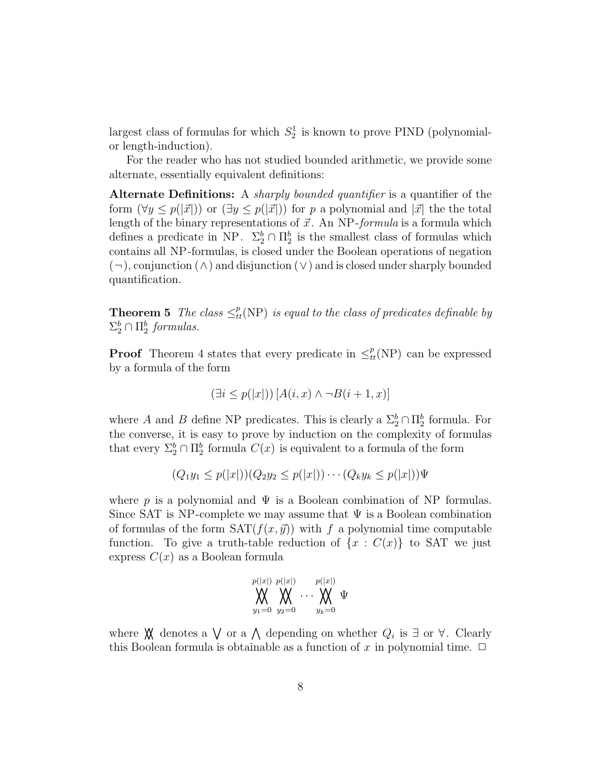largest class of formulas for which  $S_2^1$  is known to prove PIND (polynomialor length-induction).

For the reader who has not studied bounded arithmetic, we provide some alternate, essentially equivalent definitions:

**Alternate Definitions:** A sharply bounded quantifier is a quantifier of the form  $(\forall y \leq p(|\vec{x}|))$  or  $(\exists y \leq p(|\vec{x}|))$  for p a polynomial and  $|\vec{x}|$  the the total length of the binary representations of  $\vec{x}$ . An NP-formula is a formula which defines a predicate in NP.  $\Sigma_2^b \cap \Pi_2^b$  is the smallest class of formulas which contains all NP -formulas, is closed under the Boolean operations of negation  $(\neg)$ , conjunction  $(\wedge)$  and disjunction  $(\vee)$  and is closed under sharply bounded quantification.

**Theorem 5** The class  $\leq_t^p (NP)$  is equal to the class of predicates definable by  $\sum_b^b$   $\cap$   $\Pi^b$  formulas  $\Sigma_2^b \cap \Pi_2^b$  formulas.

**Proof** Theorem 4 states that every predicate in  $\leq_t^p (NP)$  can be expressed<br>by a formula of the form by a formula of the form

$$
(\exists i \le p(|x|)) [A(i,x) \land \neg B(i+1,x)]
$$

where A and B define NP predicates. This is clearly a  $\Sigma_2^b \cap \Pi_2^b$  formula. For the converse, it is easy to prove by induction on the complexity of formulas that every  $\Sigma_2^b \cap \Pi_2^b$  formula  $C(x)$  is equivalent to a formula of the form

$$
(Q_1y_1 \leq p(|x|))(Q_2y_2 \leq p(|x|)) \cdots (Q_ky_k \leq p(|x|))\Psi
$$

where p is a polynomial and  $\Psi$  is a Boolean combination of NP formulas. Since SAT is NP-complete we may assume that  $\Psi$  is a Boolean combination of formulas of the form  $SAT(f(x, \vec{y}))$  with f a polynomial time computable function. To give a truth-table reduction of  $\{x : C(x)\}\)$  to SAT we just express  $C(x)$  as a Boolean formula

$$
\bigvee_{y_1=0}^{p(|x|)} \bigvee_{y_2=0}^{p(|x|)} \cdots \bigvee_{y_k=0}^{p(|x|)} \Psi
$$

where  $\mathsf{W}$  denotes a  $\mathsf{V}$  or a  $\mathsf{A}$  depending on whether  $Q_i$  is  $\exists$  or  $\forall$ . Clearly this Boolean formula is obtainable as a function of x in polynomial time.  $\Box$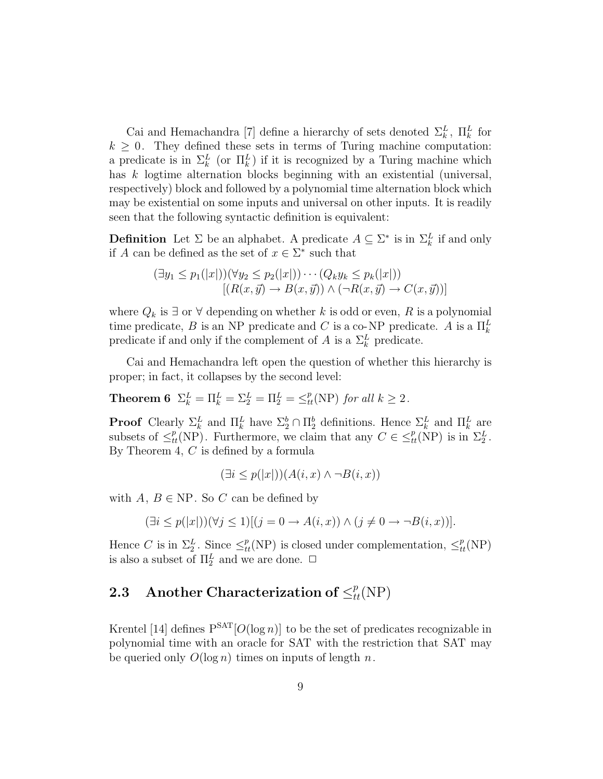Cai and Hemachandra [7] define a hierarchy of sets denoted  $\Sigma_k^L$ ,  $\Pi_k^L$  for  $k \geq 0$ . They defined these sets in terms of Turing machine computation:  $k \geq 0$ . They defined these sets in terms of Turing machine computation: a predicate is in  $\Sigma_k^L$  (or  $\Pi_k^L$ ) if it is recognized by a Turing machine which<br>has k loging alternation blocks beginning with an existential (universal has k logtime alternation blocks beginning with an existential (universal, respectively) block and followed by a polynomial time alternation block which may be existential on some inputs and universal on other inputs. It is readily seen that the following syntactic definition is equivalent:

**Definition** Let  $\Sigma$  be an alphabet. A predicate  $A \subseteq \Sigma^*$  is in  $\Sigma_k^L$  if and only if A can be defined as the set of  $x \in \Sigma^*$  such that if A can be defined as the set of  $x \in \Sigma^*$  such that

$$
(\exists y_1 \le p_1(|x|))(\forall y_2 \le p_2(|x|)) \cdots (Q_k y_k \le p_k(|x|))
$$

$$
[(R(x, \vec{y}) \to B(x, \vec{y})) \land (\neg R(x, \vec{y}) \to C(x, \vec{y}))]
$$

where  $Q_k$  is  $\exists$  or  $\forall$  depending on whether k is odd or even, R is a polynomial time predicate, B is an NP predicate and C is a co-NP predicate. A is a  $\Pi_{k}^{L}$ predicate if and only if the complement of A is a  $\Sigma_k^L$  predicate.

Cai and Hemachandra left open the question of whether this hierarchy is proper; in fact, it collapses by the second level:

**Theorem 6**  $\Sigma_k^L = \Pi_k^L = \Sigma_2^L = \Pi_2^L = \leq^p_{tt}(\text{NP})$  for all  $k \geq 2$ .

**Proof** Clearly  $\Sigma_k^L$  and  $\Pi_k^L$  have  $\Sigma_2^b \cap \Pi_2^b$  definitions. Hence  $\Sigma_k^L$  and  $\Pi_k^L$  are subsets of  $\langle P(N) \rangle$ . Eurthermore, we claim that any  $C \subset \langle P(N) \rangle$  is in  $\Sigma_k^L$ subsets of  $\leq^p_t(NP)$ . Furthermore, we claim that any  $C \in \leq^p_t(NP)$  is in  $\Sigma^L_2$ . By Theorem 4, C is defined by a formula

$$
(\exists i \le p(|x|))(A(i,x) \land \neg B(i,x))
$$

with  $A, B \in \mathbb{NP}$ . So C can be defined by

$$
(\exists i \le p(|x|))(\forall j \le 1)[(j = 0 \to A(i, x)) \land (j \neq 0 \to \neg B(i, x))].
$$

Hence C is in  $\Sigma_2^L$ . Since  $\leq^p_{tt}(NP)$  is closed under complementation,  $\leq^p_{tt}(NP)$ is also a subset of  $\Pi_2^L$  and we are done.  $\Box$ 

# **2.3** Another Characterization of  $\leq^p_{tt}(\text{NP})$

Krentel [14] defines  $P<sup>SAT</sup>[O(\log n)]$  to be the set of predicates recognizable in polynomial time with an oracle for SAT with the restriction that SAT may be queried only  $O(\log n)$  times on inputs of length n.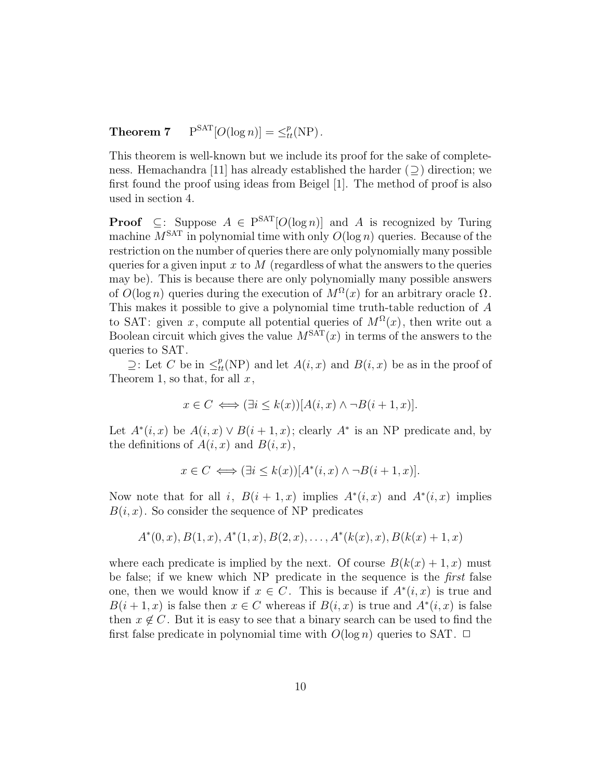**Theorem 7**  $P^{SAT}[O(\log n)] = \leq_t^p (NP)$ .

This theorem is well-known but we include its proof for the sake of completeness. Hemachandra [11] has already established the harder  $(2)$  direction; we first found the proof using ideas from Beigel [1]. The method of proof is also used in section 4.

**Proof**  $\subseteq$ : Suppose  $A \in \mathbb{P}^{\text{SAT}}[O(\log n)]$  and A is recognized by Turing machine  $M<sup>SAT</sup>$  in polynomial time with only  $O(\log n)$  queries. Because of the restriction on the number of queries there are only polynomially many possible queries for a given input  $x$  to  $M$  (regardless of what the answers to the queries may be). This is because there are only polynomially many possible answers of  $O(\log n)$  queries during the execution of  $M^{\Omega}(x)$  for an arbitrary oracle  $\Omega$ . This makes it possible to give a polynomial time truth-table reduction of A to SAT: given x, compute all potential queries of  $M^{\Omega}(x)$ , then write out a Boolean circuit which gives the value  $M<sup>SAT</sup>(x)$  in terms of the answers to the queries to SAT.

 $\supseteq$ : Let C be in  $\leq^p_{tt}(NP)$  and let  $A(i, x)$  and  $B(i, x)$  be as in the proof of Theorem 1, so that, for all  $x$ ,

$$
x \in C \iff (\exists i \leq k(x))[A(i,x) \land \neg B(i+1,x)].
$$

Let  $A^*(i, x)$  be  $A(i, x) \vee B(i + 1, x)$ ; clearly  $A^*$  is an NP predicate and, by the definitions of  $A(i, x)$  and  $B(i, x)$ ,

$$
x \in C \iff (\exists i \leq k(x))[A^*(i,x) \land \neg B(i+1,x)].
$$

Now note that for all i,  $B(i + 1, x)$  implies  $A^*(i, x)$  and  $A^*(i, x)$  implies  $B(i, x)$ . So consider the sequence of NP predicates

$$
A^*(0, x), B(1, x), A^*(1, x), B(2, x), \ldots, A^*(k(x), x), B(k(x) + 1, x)
$$

where each predicate is implied by the next. Of course  $B(k(x) + 1, x)$  must be false; if we knew which NP predicate in the sequence is the first false one, then we would know if  $x \in C$ . This is because if  $A^*(i, x)$  is true and  $B(i + 1, x)$  is false then  $x \in C$  whereas if  $B(i, x)$  is true and  $A^*(i, x)$  is false then  $x \notin C$ . But it is easy to see that a binary search can be used to find the first false predicate in polynomial time with  $O(\log n)$  queries to SAT.  $\Box$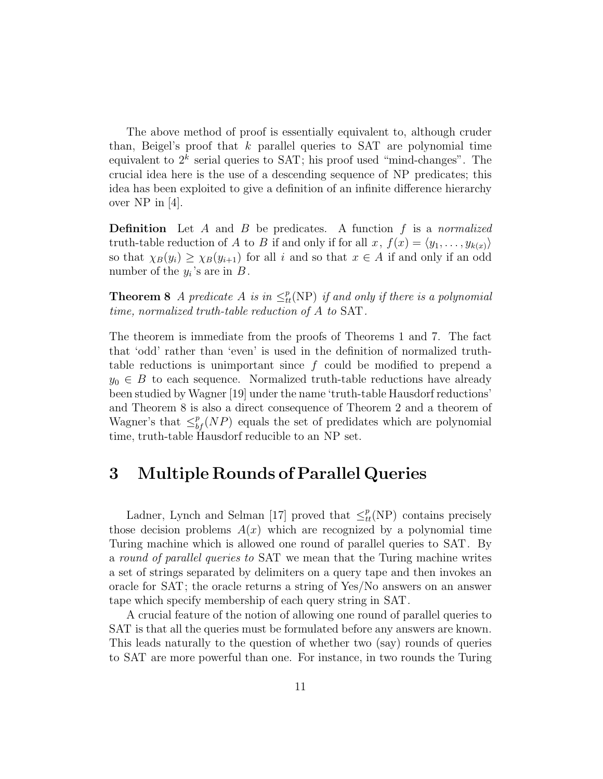The above method of proof is essentially equivalent to, although cruder than, Beigel's proof that  $k$  parallel queries to SAT are polynomial time equivalent to  $2^k$  serial queries to SAT; his proof used "mind-changes". The crucial idea here is the use of a descending sequence of NP predicates; this idea has been exploited to give a definition of an infinite difference hierarchy over NP in  $|4|$ .

**Definition** Let A and B be predicates. A function f is a normalized truth-table reduction of A to B if and only if for all x,  $f(x) = \langle y_1, \ldots, y_{k(x)} \rangle$ so that  $\chi_B(y_i) \geq \chi_B(y_{i+1})$  for all i and so that  $x \in A$  if and only if an odd number of the  $y_i$ 's are in B.

**Theorem 8** A predicate A is in  $\leq^p_t(N)$  if and only if there is a polynomial<br>time normalized truth table reduction of A to SAT time, normalized truth-table reduction of A to SAT.

The theorem is immediate from the proofs of Theorems 1 and 7. The fact that 'odd' rather than 'even' is used in the definition of normalized truthtable reductions is unimportant since  $f$  could be modified to prepend a  $y_0 \in B$  to each sequence. Normalized truth-table reductions have already been studied by Wagner [19] under the name 'truth-table Hausdorf reductions' and Theorem 8 is also a direct consequence of Theorem 2 and a theorem of Wagner's that  $\leq_{bf}^{p}(NP)$  equals the set of predidates which are polynomial<br>time truth table Hausdorf reducible to an NP set time, truth-table Hausdorf reducible to an NP set.

### **3 Multiple Rounds of Parallel Queries**

Ladner, Lynch and Selman [17] proved that  $\leq_{tt}^{p}(NP)$  contains precisely those decision problems  $A(x)$  which are recognized by a polynomial time Turing machine which is allowed one round of parallel queries to SAT. By a round of parallel queries to SAT we mean that the Turing machine writes a set of strings separated by delimiters on a query tape and then invokes an oracle for SAT; the oracle returns a string of Yes/No answers on an answer tape which specify membership of each query string in SAT.

A crucial feature of the notion of allowing one round of parallel queries to SAT is that all the queries must be formulated before any answers are known. This leads naturally to the question of whether two (say) rounds of queries to SAT are more powerful than one. For instance, in two rounds the Turing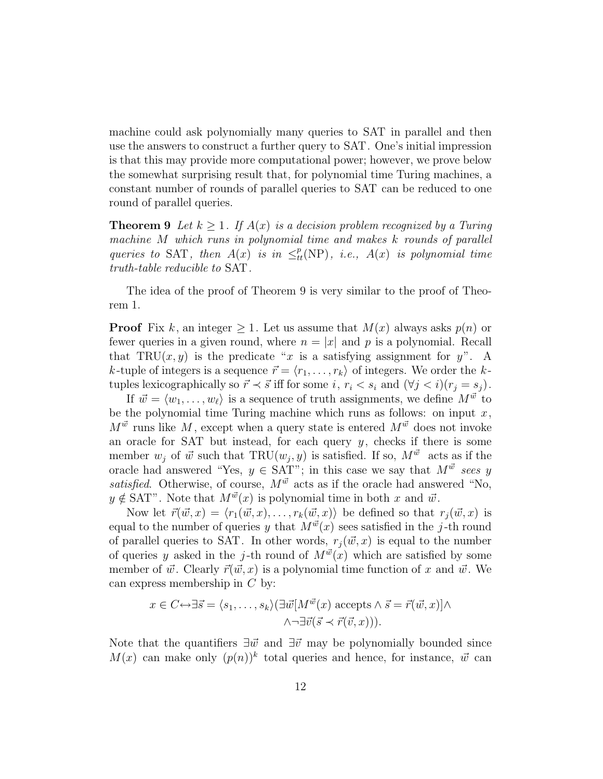machine could ask polynomially many queries to SAT in parallel and then use the answers to construct a further query to SAT. One's initial impression is that this may provide more computational power; however, we prove below the somewhat surprising result that, for polynomial time Turing machines, a constant number of rounds of parallel queries to SAT can be reduced to one round of parallel queries.

**Theorem 9** Let  $k \geq 1$ . If  $A(x)$  is a decision problem recognized by a Turing machine M which runs in polynomial time and makes k rounds of parallel queries to SAT, then  $A(x)$  is in  $\leq^p_t(NP)$ , i.e.,  $A(x)$  is polynomial time<br>truth table reducible to SAT truth-table reducible to SAT.

The idea of the proof of Theorem 9 is very similar to the proof of Theorem 1.

**Proof** Fix k, an integer  $\geq 1$ . Let us assume that  $M(x)$  always asks  $p(n)$  or fewer queries in a given round, where  $n = |x|$  and p is a polynomial. Recall that TRU $(x, y)$  is the predicate "x is a satisfying assignment for y". A k-tuple of integers is a sequence  $\vec{r} = \langle r_1, \ldots, r_k \rangle$  of integers. We order the ktuples lexicographically so  $\vec{r} \prec \vec{s}$  iff for some i,  $r_i \prec s_i$  and  $(\forall j \prec i)(r_j = s_j)$ .

If  $\vec{w} = \langle w_1,\ldots,w_\ell\rangle$  is a sequence of truth assignments, we define  $M^{\vec{w}}$  to be the polynomial time Turing machine which runs as follows: on input  $x$ ,  $M^{\vec{w}}$  runs like M, except when a query state is entered  $M^{\vec{w}}$  does not invoke an oracle for SAT but instead, for each query  $y$ , checks if there is some member  $w_i$  of  $\vec{w}$  such that TRU( $w_i, y$ ) is satisfied. If so,  $M^{\vec{w}}$  acts as if the oracle had answered "Yes,  $y \in SAT$ "; in this case we say that  $M^{\vec{w}}$  sees y satisfied. Otherwise, of course,  $M^{\vec{w}}$  acts as if the oracle had answered "No,  $y \notin SAT$ ". Note that  $M^{\vec{w}}(x)$  is polynomial time in both x and  $\vec{w}$ .

Now let  $\vec{r}(\vec{w}, x) = \langle r_1(\vec{w}, x), \ldots, r_k(\vec{w}, x) \rangle$  be defined so that  $r_i(\vec{w}, x)$  is equal to the number of queries y that  $M^{\vec{w}}(x)$  sees satisfied in the j-th round of parallel queries to SAT. In other words,  $r_i(\vec{w}, x)$  is equal to the number of queries y asked in the j-th round of  $M^{\vec{w}}(x)$  which are satisfied by some member of  $\vec{w}$ . Clearly  $\vec{r}(\vec{w}, x)$  is a polynomial time function of x and  $\vec{w}$ . We can express membership in  $C$  by:

$$
x \in C \leftrightarrow \exists \vec{s} = \langle s_1, \dots, s_k \rangle (\exists \vec{w} [M^{\vec{w}}(x) \text{ accepts } \land \vec{s} = \vec{r}(\vec{w}, x)] \land \land \neg \exists \vec{v} (\vec{s} \prec \vec{r}(\vec{v}, x))).
$$

Note that the quantifiers  $\exists \vec{w}$  and  $\exists \vec{v}$  may be polynomially bounded since  $M(x)$  can make only  $(p(n))^k$  total queries and hence, for instance,  $\vec{w}$  can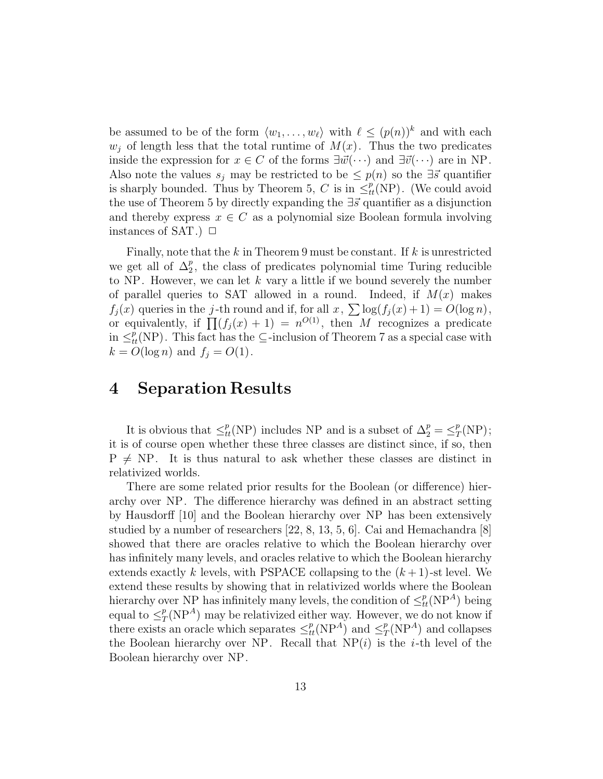be assumed to be of the form  $\langle w_1,\ldots,w_\ell\rangle$  with  $\ell \leq (p(n))^k$  and with each  $w_j$  of length less that the total runtime of  $M(x)$ . Thus the two predicates inside the expression for  $x \in C$  of the forms  $\exists \vec{w}(\cdots)$  and  $\exists \vec{v}(\cdots)$  are in NP. Also note the values  $s_i$  may be restricted to be  $\leq p(n)$  so the  $\exists \vec{s}$  quantifier is sharply bounded. Thus by Theorem 5, C is in  $\leq^p_{tt}(\text{NP})$ . (We could avoid the use of Theorem 5 by directly expanding the  $\exists \vec{s}$  quantifier as a disjunction the use of Theorem 5 by directly expanding the  $\exists \vec{s}$  quantifier as a disjunction and thereby express  $x \in C$  as a polynomial size Boolean formula involving instances of SAT.)  $\Box$ 

Finally, note that the k in Theorem 9 must be constant. If  $k$  is unrestricted we get all of  $\Delta_2^p$ , the class of predicates polynomial time Turing reducible to NP. However, we can let  $k$  vary a little if we bound severely the number of parallel queries to SAT allowed in a round. Indeed, if  $M(x)$  makes  $f_j(x)$  queries in the j-th round and if, for all  $x$ ,  $\sum \log(f_j(x) + 1) = O(\log n)$ , or equivalently, if  $\prod (f_j(x) + 1) = n^{O(1)}$ , then M recognizes a predicate in  $\leq_{tt}^{p}(\text{NP})$ . This fact has the ⊆-inclusion of Theorem 7 as a special case with  $k = O(\log n)$  and  $f = O(1)$  $k = O(\log n)$  and  $f_j = O(1)$ .

### **4 Separation Results**

It is obvious that  $\leq^p_t(N)$  includes NP and is a subset of  $\Delta^p = \leq^p_T(N)$ ;<br>the subset of course open whether these three classes are distinct since if so then it is of course open whether these three classes are distinct since, if so, then  $P \neq NP$ . It is thus natural to ask whether these classes are distinct in relativized worlds.

There are some related prior results for the Boolean (or difference) hierarchy over NP. The difference hierarchy was defined in an abstract setting by Hausdorff [10] and the Boolean hierarchy over NP has been extensively studied by a number of researchers [22, 8, 13, 5, 6]. Cai and Hemachandra [8] showed that there are oracles relative to which the Boolean hierarchy over has infinitely many levels, and oracles relative to which the Boolean hierarchy extends exactly k levels, with PSPACE collapsing to the  $(k+1)$ -st level. We extend these results by showing that in relativized worlds where the Boolean hierarchy over NP has infinitely many levels, the condition of  $\leq^p_t(NP^A)$  being<br>caush to  $\leq^p_t(NP^A)$  may be relativized either way. However, we do not know if equal to  $\leq^p_T(NP^A)$  may be relativized either way. However, we do not know if<br>there exists an oracle which separates  $\leq^p_t(NP^A)$  and  $\leq^p_T(NP^A)$  and collapses<br>the Boolean biggraphy over NP. Booll that  $NP(i)$  is the the Boolean hierarchy over NP. Recall that  $NP(i)$  is the *i*-th level of the Boolean hierarchy over NP.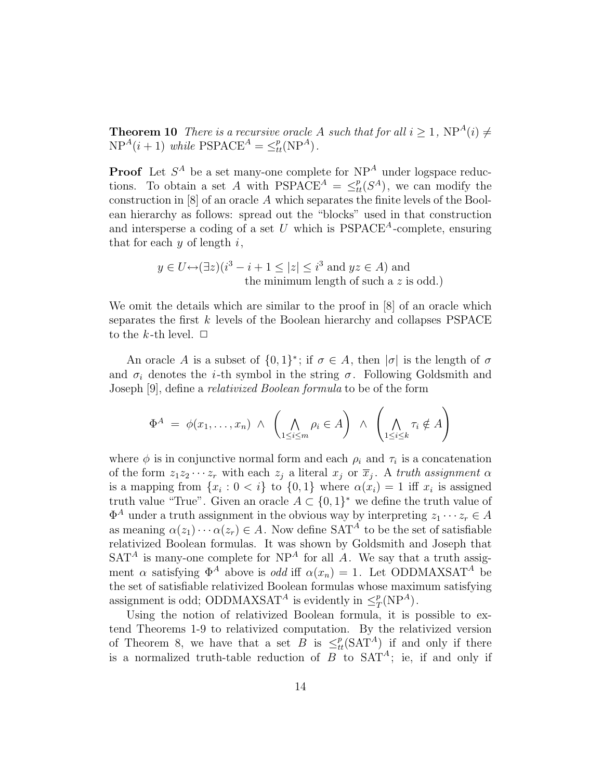**Theorem 10** There is a recursive oracle A such that for all  $i \geq 1$ ,  $NP^{A}(i) \neq$  $NP<sup>A</sup>(i + 1)$  while  $PSPACE<sup>A</sup> = \leq_t^p (NP<sup>A</sup>)$ .

**Proof** Let  $S^A$  be a set many-one complete for  $NP^A$  under logspace reductions. To obtain a set A with  $PSPACE^A = \leq^p_t(S^A)$ , we can modify the construction in [8] of an oracle A which concretes the finite levels of the Bool. construction in [8] of an oracle A which separates the finite levels of the Boolean hierarchy as follows: spread out the "blocks" used in that construction and intersperse a coding of a set  $U$  which is  $PSPACE<sup>A</sup>$ -complete, ensuring that for each  $y$  of length  $i$ ,

$$
y \in U \leftrightarrow (\exists z)(i^3 - i + 1 \le |z| \le i^3 \text{ and } yz \in A) \text{ and}
$$
  
the minimum length of such a z is odd.)

We omit the details which are similar to the proof in [8] of an oracle which separates the first k levels of the Boolean hierarchy and collapses PSPACE to the k-th level.  $\Box$ 

An oracle A is a subset of  $\{0,1\}^*$ ; if  $\sigma \in A$ , then  $|\sigma|$  is the length of  $\sigma$ and  $\sigma_i$  denotes the *i*-th symbol in the string  $\sigma$ . Following Goldsmith and Joseph [9], define a relativized Boolean formula to be of the form

$$
\Phi^A = \phi(x_1, \dots, x_n) \land \left(\bigwedge_{1 \leq i \leq m} \rho_i \in A\right) \land \left(\bigwedge_{1 \leq i \leq k} \tau_i \notin A\right)
$$

where  $\phi$  is in conjunctive normal form and each  $\rho_i$  and  $\tau_i$  is a concatenation of the form  $z_1z_2 \cdots z_r$  with each  $z_j$  a literal  $x_j$  or  $\overline{x}_j$ . A truth assignment  $\alpha$ is a mapping from  $\{x_i : 0 < i\}$  to  $\{0,1\}$  where  $\alpha(x_i) = 1$  iff  $x_i$  is assigned truth value "True". Given an oracle  $A \subset \{0,1\}^*$  we define the truth value of  $\Phi^A$  under a truth assignment in the obvious way by interpreting  $z_1 \cdots z_r \in A$ as meaning  $\alpha(z_1)\cdots\alpha(z_r) \in A$ . Now define SAT<sup>A</sup> to be the set of satisfiable relativized Boolean formulas. It was shown by Goldsmith and Joseph that  $SAT<sup>A</sup>$  is many-one complete for  $NP<sup>A</sup>$  for all A. We say that a truth assigment  $\alpha$  satisfying  $\Phi^A$  above is *odd* iff  $\alpha(x_n) = 1$ . Let ODDMAXSAT<sup>A</sup> be the set of satisfiable relativized Boolean formulas whose maximum satisfying assignment is odd; ODDMAXSAT<sup>A</sup> is evidently in  $\leq^p_T(NP^A)$ .<br>Listant the notion of relativized Boolean formula it is r

Using the notion of relativized Boolean formula, it is possible to extend Theorems 1-9 to relativized computation. By the relativized version of Theorem 8, we have that a set B is  $\leq^p_t(SAT^A)$  if and only if there is a normalized truth-table reduction of  $B$  to  $SAT<sup>A</sup>$ ; ie, if and only if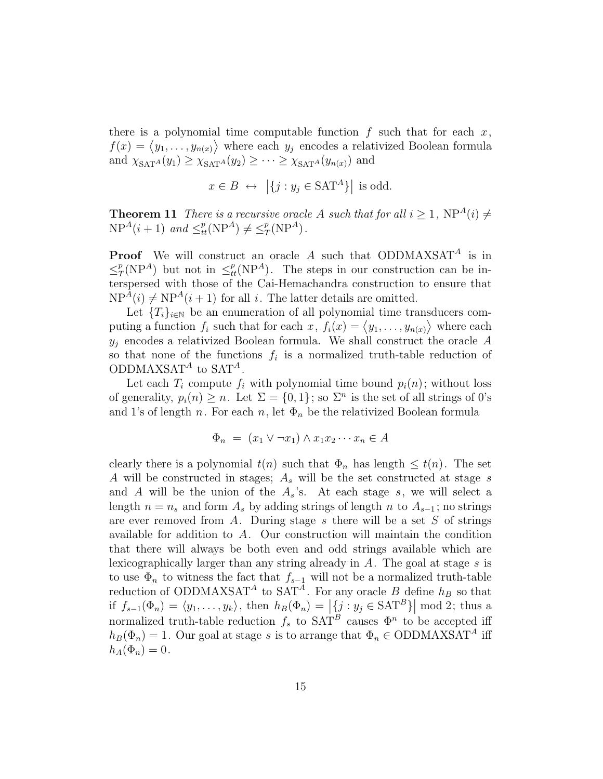there is a polynomial time computable function  $f$  such that for each  $x$ ,  $f(x) = \langle y_1, \ldots, y_{n(x)} \rangle$  where each  $y_j$  encodes a relativized Boolean formula and  $\chi_{\text{SAT}^A}(y_1) \geq \chi_{\text{SAT}^A}(y_2) \geq \cdots \geq \chi_{\text{SAT}^A}(y_{n(x)})$  and

$$
x \in B \leftrightarrow |\{j : y_j \in \text{SAT}^A\}| \text{ is odd.}
$$

**Theorem 11** There is a recursive oracle A such that for all  $i \geq 1$ ,  $NP^{A}(i) \neq$  $NP<sup>A</sup>(i + 1)$  and  $\leq^p_{tt}(NP^A) \neq \leq^p_T(NP^A)$ .

**Proof** We will construct an oracle  $A$  such that ODDMAXSAT<sup> $A$ </sup> is in  $\leq^p_T(NP^A)$  but not in  $\leq^p_t(NP^A)$ . The steps in our construction can be in-<br>terms and with these of the Cai Hemachardra construction to ensure that terspersed with those of the Cai-Hemachandra construction to ensure that  $NP<sup>A</sup>(i) \neq NP<sup>A</sup>(i + 1)$  for all i. The latter details are omitted.

Let  ${T_i}_{i\in\mathbb{N}}$  be an enumeration of all polynomial time transducers computing a function  $f_i$  such that for each  $x$ ,  $f_i(x) = \langle y_1, \ldots, y_{n(x)} \rangle$  where each  $y_i$  encodes a relativized Boolean formula. We shall construct the oracle A so that none of the functions  $f_i$  is a normalized truth-table reduction of ODDMAXSAT<sup>A</sup> to SAT<sup>A</sup>.

Let each  $T_i$  compute  $f_i$  with polynomial time bound  $p_i(n)$ ; without loss of generality,  $p_i(n) \geq n$ . Let  $\Sigma = \{0, 1\}$ ; so  $\Sigma^n$  is the set of all strings of 0's and 1's of length n. For each n, let  $\Phi_n$  be the relativized Boolean formula

$$
\Phi_n = (x_1 \vee \neg x_1) \wedge x_1 x_2 \cdots x_n \in A
$$

clearly there is a polynomial  $t(n)$  such that  $\Phi_n$  has length  $\leq t(n)$ . The set A will be constructed in stages;  $A_s$  will be the set constructed at stage s and A will be the union of the  $A_s$ 's. At each stage s, we will select a length  $n = n_s$  and form  $A_s$  by adding strings of length n to  $A_{s-1}$ ; no strings are ever removed from  $A$ . During stage s there will be a set  $S$  of strings available for addition to A. Our construction will maintain the condition that there will always be both even and odd strings available which are lexicographically larger than any string already in  $A$ . The goal at stage s is to use  $\Phi_n$  to witness the fact that  $f_{s-1}$  will not be a normalized truth-table reduction of ODDMAXSAT<sup>A</sup> to SAT<sup>A</sup>. For any oracle B define  $h_B$  so that if  $f_{s-1}(\Phi_n) = \langle y_1, \ldots, y_k \rangle$ , then  $h_B(\Phi_n) = \left| \{ j : y_j \in \text{SAT}^B \} \right| \mod 2$ ; thus a normalized truth-table reduction  $f_s$  to SAT<sup>B</sup> causes  $\Phi^n$  to be accepted iff  $h_B(\Phi_n) = 1$ . Our goal at stage s is to arrange that  $\Phi_n \in \text{ODDMAXSAT}^A$  iff  $h_A(\Phi_n)=0.$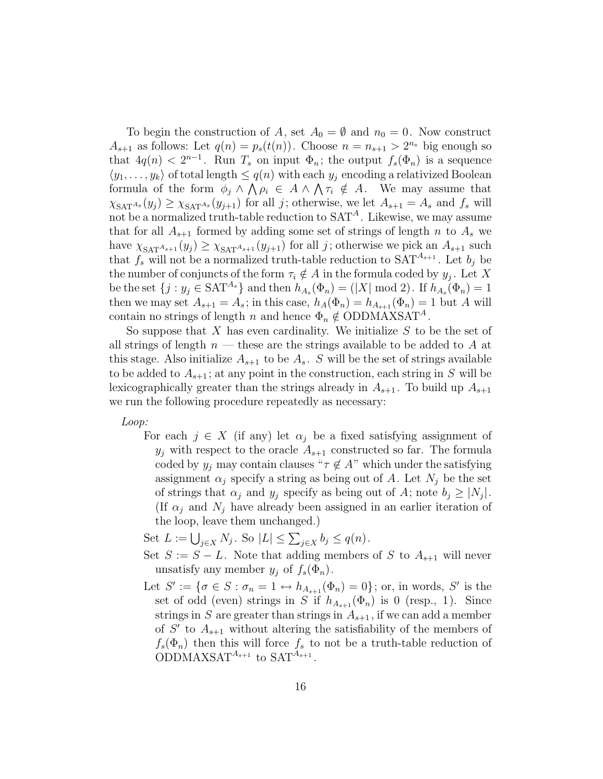To begin the construction of A, set  $A_0 = \emptyset$  and  $n_0 = 0$ . Now construct  $A_{s+1}$  as follows: Let  $q(n) = p_s(t(n))$ . Choose  $n = n_{s+1} > 2^{n_s}$  big enough so that  $4q(n) < 2^{n-1}$ . Run  $T_s$  on input  $\Phi_n$ ; the output  $f_s(\Phi_n)$  is a sequence  $\langle y_1,\ldots,y_k\rangle$  of total length  $\leq q(n)$  with each  $y_j$  encoding a relativized Boolean formula of the form  $\phi_j \wedge \bigwedge \rho_i \in A \wedge \bigwedge \tau_i \notin A$ . We may assume that  $\chi_{\text{SAT}^{As}}(y_j) \geq \chi_{\text{SAT}^{As}}(y_{j+1})$  for all j; otherwise, we let  $A_{s+1} = A_s$  and  $f_s$  will not be a normalized truth-table reduction to  $SAT<sup>A</sup>$ . Likewise, we may assume that for all  $A_{s+1}$  formed by adding some set of strings of length n to  $A_s$  we have  $\chi_{\text{SAT}^{A_{s+1}}}(y_j) \geq \chi_{\text{SAT}^{A_{s+1}}}(y_{j+1})$  for all j; otherwise we pick an  $A_{s+1}$  such that  $f_s$  will not be a normalized truth-table reduction to  $SAT^{A_{s+1}}$ . Let  $b_i$  be the number of conjuncts of the form  $\tau_i \notin A$  in the formula coded by  $y_j$ . Let X be the set  $\{j : y_j \in \text{SAT}^{A_s}\}\$ and then  $h_{A_s}(\Phi_n)=(|X| \mod 2)$ . If  $h_{A_s}(\Phi_n)=1$ then we may set  $A_{s+1} = A_s$ ; in this case,  $h_A(\Phi_n) = h_{A_{s+1}}(\Phi_n) = 1$  but A will contain no strings of length n and hence  $\Phi_n \notin \text{ODDMAXSAT}^A$ .

So suppose that X has even cardinality. We initialize  $S$  to be the set of all strings of length  $n$  — these are the strings available to be added to A at this stage. Also initialize  $A_{s+1}$  to be  $A_s$ . S will be the set of strings available to be added to  $A_{s+1}$ ; at any point in the construction, each string in S will be lexicographically greater than the strings already in  $A_{s+1}$ . To build up  $A_{s+1}$ we run the following procedure repeatedly as necessary:

Loop:

For each  $j \in X$  (if any) let  $\alpha_j$  be a fixed satisfying assignment of  $y_j$  with respect to the oracle  $A_{s+1}$  constructed so far. The formula coded by  $y_j$  may contain clauses " $\tau \notin A$ " which under the satisfying assignment  $\alpha_j$  specify a string as being out of A. Let  $N_j$  be the set of strings that  $\alpha_i$  and  $y_i$  specify as being out of A; note  $b_i \geq |N_i|$ . (If  $\alpha_i$  and  $N_i$  have already been assigned in an earlier iteration of the loop, leave them unchanged.)

Set  $L := \bigcup_{j \in X} N_j$ . So  $|L| \le \sum_{j \in X} b_j \le q(n)$ .

- Set  $S := S L$ . Note that adding members of S to  $A_{s+1}$  will never unsatisfy any member  $y_i$  of  $f_s(\Phi_n)$ .
- Let  $S' := \{ \sigma \in S : \sigma_n = 1 \leftrightarrow h_{A_{s+1}}(\Phi_n) = 0 \};$  or, in words, S' is the set of odd (even) strings in S if  $h_{A_{s+1}}(\Phi_n)$  is 0 (resp., 1). Since strings in S are greater than strings in  $A_{s+1}$ , if we can add a member of S' to  $A_{s+1}$  without altering the satisfiability of the members of  $f_s(\Phi_n)$  then this will force  $f_s$  to not be a truth-table reduction of ODDMAXSAT<sup> $A_{s+1}$ </sup> to SAT<sup> $A_{s+1}$ </sup>.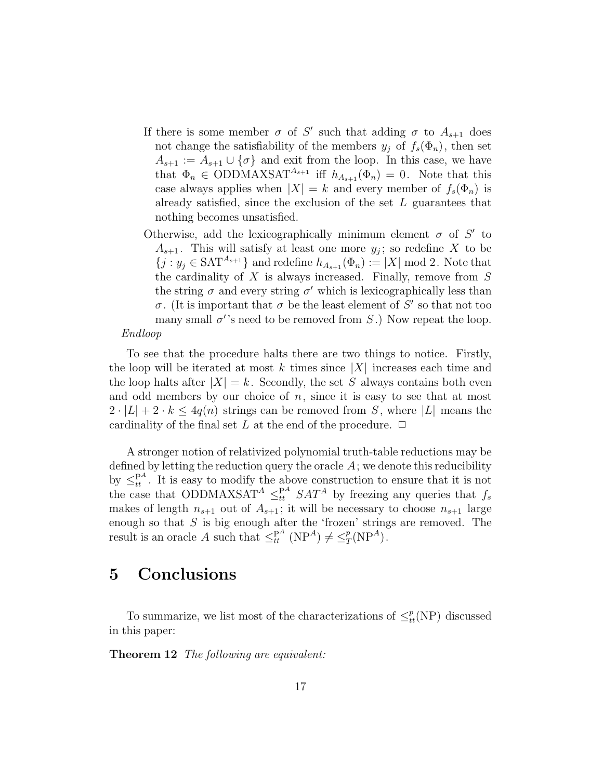- If there is some member  $\sigma$  of S' such that adding  $\sigma$  to  $A_{s+1}$  does not change the satisfiability of the members  $y_j$  of  $f_s(\Phi_n)$ , then set  $A_{s+1} := A_{s+1} \cup \{\sigma\}$  and exit from the loop. In this case, we have that  $\Phi_n \in \text{ODDMAXSAT}^{A_{s+1}}$  iff  $h_{A_{s+1}}(\Phi_n) = 0$ . Note that this case always applies when  $|X| = k$  and every member of  $f_s(\Phi_n)$  is already satisfied, since the exclusion of the set L guarantees that nothing becomes unsatisfied.
- Otherwise, add the lexicographically minimum element  $\sigma$  of S' to  $A_{s+1}$ . This will satisfy at least one more  $y_j$ ; so redefine X to be  ${j : y_j \in \text{SAT}^{A_{s+1}}\}$  and redefine  $h_{A_{s+1}}(\Phi_n) := |X| \mod 2$ . Note that the cardinality of  $X$  is always increased. Finally, remove from  $S$ the string  $\sigma$  and every string  $\sigma'$  which is lexicographically less than σ. (It is important that σ be the least element of  $S'$  so that not too many small  $\sigma'$ 's need to be removed from S.) Now repeat the loop.

#### Endloop

To see that the procedure halts there are two things to notice. Firstly, the loop will be iterated at most k times since  $|X|$  increases each time and the loop halts after  $|X| = k$ . Secondly, the set S always contains both even and odd members by our choice of  $n$ , since it is easy to see that at most  $2 \cdot |L| + 2 \cdot k \leq 4q(n)$  strings can be removed from S, where |L| means the cardinality of the final set L at the end of the procedure.  $\Box$ 

A stronger notion of relativized polynomial truth-table reductions may be defined by letting the reduction query the oracle  $A$ ; we denote this reducibility by  $\leq_t^{P^A}$ . It is easy to modify the above construction to ensure that it is not the case that ODDMAXSAT<sup>A</sup>  $\leq_t^{P^A} SAT^A$  by freezing any queries that  $f_s$  makes of longth  $x$  and  $\leq t$  is truell be necessary to cho makes of length  $n_{s+1}$  out of  $A_{s+1}$ ; it will be necessary to choose  $n_{s+1}$  large enough so that  $S$  is big enough after the 'frozen' strings are removed. The result is an oracle A such that  $\leq_{tt}^{\mathbf{P}^A} (\mathbf{NP}^A) \neq \leq_T^p (\mathbf{NP}^A)$ .

### **5 Conclusions**

To summarize, we list most of the characterizations of  $\leq^p_{tt}(NP)$  discussed<br>bis paper: in this paper:

**Theorem 12** The following are equivalent: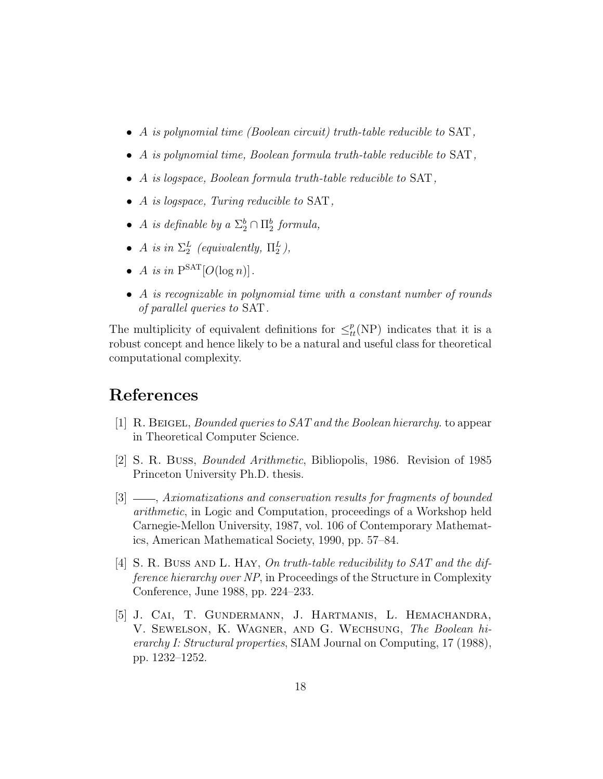- A is polynomial time (Boolean circuit) truth-table reducible to  $SAT$ .
- A is polynomial time, Boolean formula truth-table reducible to  $SAT$ .
- A is logspace, Boolean formula truth-table reducible to SAT,
- A is logspace, Turing reducible to SAT,
- A is definable by a  $\Sigma_2^b \cap \Pi_2^b$  formula,
- A is in  $\Sigma_2^L$  (equivalently,  $\Pi_2^L$ ),
- A is in  $P^{SAT}[O(\log n)]$ .
- A is recognizable in polynomial time with a constant number of rounds of parallel queries to SAT.

The multiplicity of equivalent definitions for  $\leq^p_{tt}(NP)$  indicates that it is a<br>repurt concent and hance likely to be a natural and useful class for theoretical robust concept and hence likely to be a natural and useful class for theoretical computational complexity.

## **References**

- [1] R. Beigel, Bounded queries to SAT and the Boolean hierarchy. to appear in Theoretical Computer Science.
- [2] S. R. Buss, Bounded Arithmetic, Bibliopolis, 1986. Revision of 1985 Princeton University Ph.D. thesis.
- [3]  $\_\_\_\$ , Axiomatizations and conservation results for fragments of bounded arithmetic, in Logic and Computation, proceedings of a Workshop held Carnegie-Mellon University, 1987, vol. 106 of Contemporary Mathematics, American Mathematical Society, 1990, pp. 57–84.
- [4] S. R. Buss and L. Hay, On truth-table reducibility to SAT and the difference hierarchy over NP, in Proceedings of the Structure in Complexity Conference, June 1988, pp. 224–233.
- [5] J. Cai, T. Gundermann, J. Hartmanis, L. Hemachandra, V. Sewelson, K. Wagner, and G. Wechsung, The Boolean hierarchy I: Structural properties, SIAM Journal on Computing, 17 (1988), pp. 1232–1252.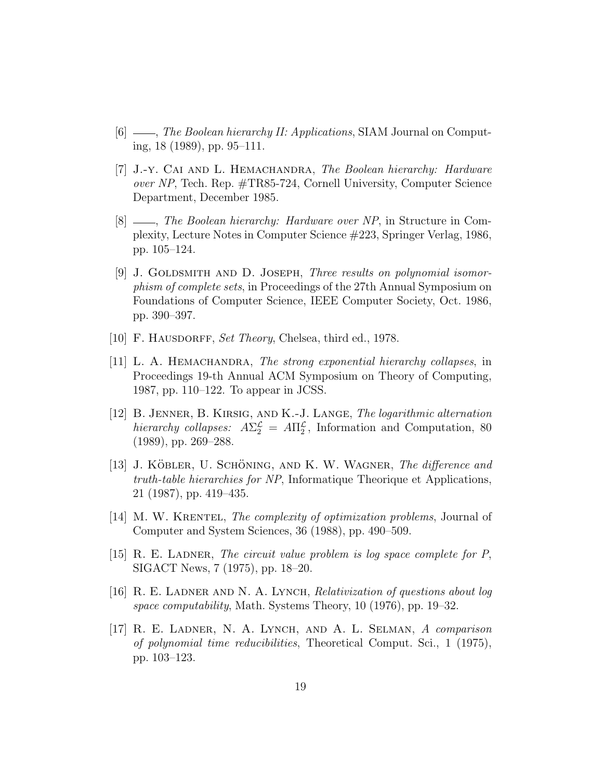- [6]  $\ldots$ , The Boolean hierarchy II: Applications, SIAM Journal on Computing, 18 (1989), pp. 95–111.
- [7] J.-Y. CAI AND L. HEMACHANDRA, The Boolean hierarchy: Hardware over NP, Tech. Rep. #TR85-724, Cornell University, Computer Science Department, December 1985.
- [8]  $\frac{1}{18}$ , The Boolean hierarchy: Hardware over NP, in Structure in Complexity, Lecture Notes in Computer Science #223, Springer Verlag, 1986, pp. 105–124.
- [9] J. GOLDSMITH AND D. JOSEPH, *Three results on polynomial isomor*phism of complete sets, in Proceedings of the 27th Annual Symposium on Foundations of Computer Science, IEEE Computer Society, Oct. 1986, pp. 390–397.
- [10] F. HAUSDORFF, Set Theory, Chelsea, third ed., 1978.
- [11] L. A. HEMACHANDRA, The strong exponential hierarchy collapses, in Proceedings 19-th Annual ACM Symposium on Theory of Computing, 1987, pp. 110–122. To appear in JCSS.
- [12] B. Jenner, B. Kirsig, and K.-J. Lange, The logarithmic alternation hierarchy collapses:  $A\Sigma_2^{\mathcal{L}} = A\Pi_2^{\mathcal{L}}$ , Information and Computation, 80 (1989), pp. 269–288.
- [13] J. KÖBLER, U. SCHÖNING, AND K. W. WAGNER, The difference and truth-table hierarchies for NP, Informatique Theorique et Applications, 21 (1987), pp. 419–435.
- [14] M. W. Krentel, The complexity of optimization problems, Journal of Computer and System Sciences, 36 (1988), pp. 490–509.
- $[15]$  R. E. LADNER, The circuit value problem is log space complete for P, SIGACT News, 7 (1975), pp. 18–20.
- [16] R. E. Ladner and N. A. Lynch, Relativization of questions about log space computability, Math. Systems Theory, 10 (1976), pp. 19–32.
- [17] R. E. Ladner, N. A. Lynch, and A. L. Selman, A comparison of polynomial time reducibilities, Theoretical Comput. Sci., 1 (1975), pp. 103–123.